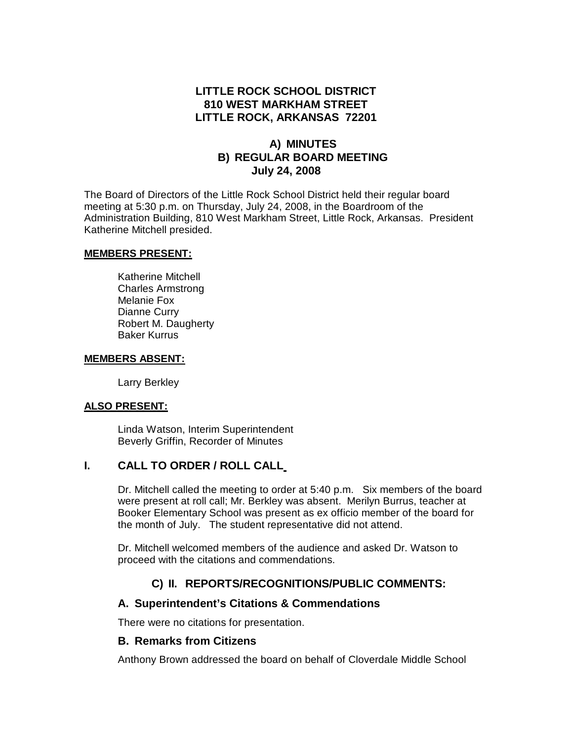## **LITTLE ROCK SCHOOL DISTRICT 810 WEST MARKHAM STREET LITTLE ROCK, ARKANSAS 72201**

## **A) MINUTES B) REGULAR BOARD MEETING July 24, 2008**

The Board of Directors of the Little Rock School District held their regular board meeting at 5:30 p.m. on Thursday, July 24, 2008, in the Boardroom of the Administration Building, 810 West Markham Street, Little Rock, Arkansas. President Katherine Mitchell presided.

#### **MEMBERS PRESENT:**

Katherine Mitchell Charles Armstrong Melanie Fox Dianne Curry Robert M. Daugherty Baker Kurrus

#### **MEMBERS ABSENT:**

Larry Berkley

#### **ALSO PRESENT:**

Linda Watson, Interim Superintendent Beverly Griffin, Recorder of Minutes

### **I. CALL TO ORDER / ROLL CALL**

Dr. Mitchell called the meeting to order at 5:40 p.m. Six members of the board were present at roll call; Mr. Berkley was absent. Merilyn Burrus, teacher at Booker Elementary School was present as ex officio member of the board for the month of July. The student representative did not attend.

Dr. Mitchell welcomed members of the audience and asked Dr. Watson to proceed with the citations and commendations.

## **C) II. REPORTS/RECOGNITIONS/PUBLIC COMMENTS:**

### **A. Superintendent's Citations & Commendations**

There were no citations for presentation.

### **B. Remarks from Citizens**

Anthony Brown addressed the board on behalf of Cloverdale Middle School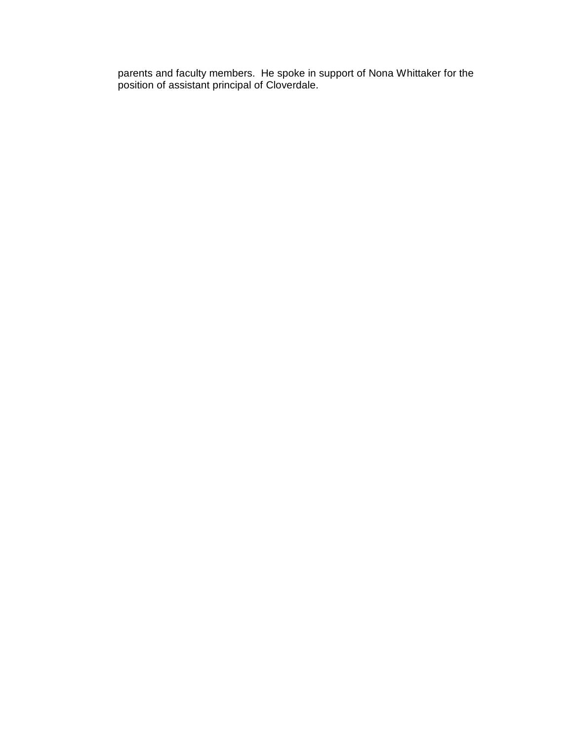parents and faculty members. He spoke in support of Nona Whittaker for the position of assistant principal of Cloverdale.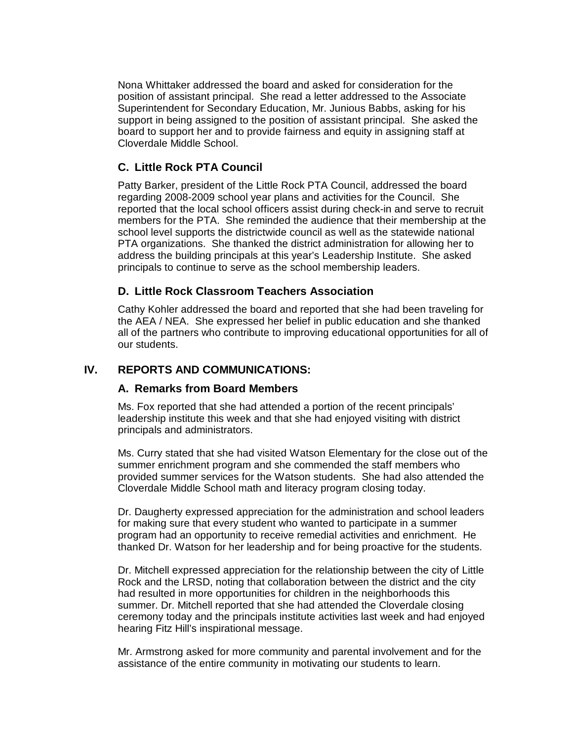Nona Whittaker addressed the board and asked for consideration for the position of assistant principal. She read a letter addressed to the Associate Superintendent for Secondary Education, Mr. Junious Babbs, asking for his support in being assigned to the position of assistant principal. She asked the board to support her and to provide fairness and equity in assigning staff at Cloverdale Middle School.

## **C. Little Rock PTA Council**

Patty Barker, president of the Little Rock PTA Council, addressed the board regarding 2008-2009 school year plans and activities for the Council. She reported that the local school officers assist during check-in and serve to recruit members for the PTA. She reminded the audience that their membership at the school level supports the districtwide council as well as the statewide national PTA organizations. She thanked the district administration for allowing her to address the building principals at this year's Leadership Institute. She asked principals to continue to serve as the school membership leaders.

## **D. Little Rock Classroom Teachers Association**

Cathy Kohler addressed the board and reported that she had been traveling for the AEA / NEA. She expressed her belief in public education and she thanked all of the partners who contribute to improving educational opportunities for all of our students.

## **IV. REPORTS AND COMMUNICATIONS:**

### **A. Remarks from Board Members**

Ms. Fox reported that she had attended a portion of the recent principals' leadership institute this week and that she had enjoyed visiting with district principals and administrators.

Ms. Curry stated that she had visited Watson Elementary for the close out of the summer enrichment program and she commended the staff members who provided summer services for the Watson students. She had also attended the Cloverdale Middle School math and literacy program closing today.

Dr. Daugherty expressed appreciation for the administration and school leaders for making sure that every student who wanted to participate in a summer program had an opportunity to receive remedial activities and enrichment. He thanked Dr. Watson for her leadership and for being proactive for the students.

Dr. Mitchell expressed appreciation for the relationship between the city of Little Rock and the LRSD, noting that collaboration between the district and the city had resulted in more opportunities for children in the neighborhoods this summer. Dr. Mitchell reported that she had attended the Cloverdale closing ceremony today and the principals institute activities last week and had enjoyed hearing Fitz Hill's inspirational message.

Mr. Armstrong asked for more community and parental involvement and for the assistance of the entire community in motivating our students to learn.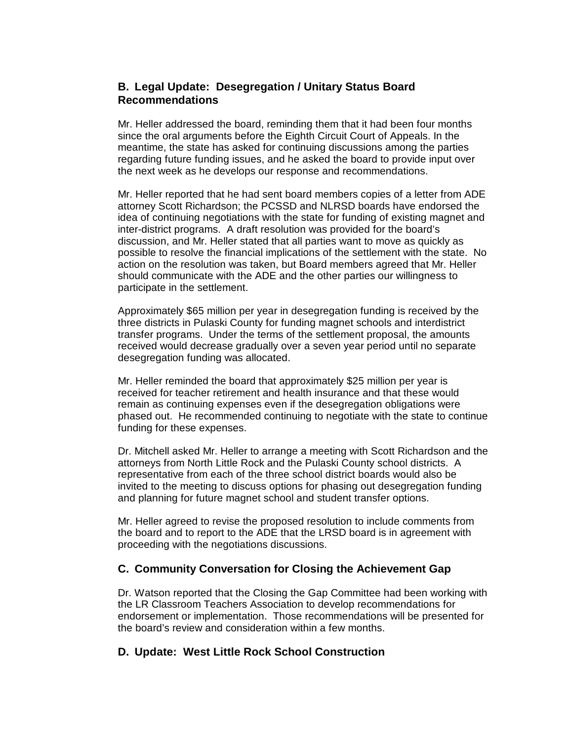## **B. Legal Update: Desegregation / Unitary Status Board Recommendations**

Mr. Heller addressed the board, reminding them that it had been four months since the oral arguments before the Eighth Circuit Court of Appeals. In the meantime, the state has asked for continuing discussions among the parties regarding future funding issues, and he asked the board to provide input over the next week as he develops our response and recommendations.

Mr. Heller reported that he had sent board members copies of a letter from ADE attorney Scott Richardson; the PCSSD and NLRSD boards have endorsed the idea of continuing negotiations with the state for funding of existing magnet and inter-district programs. A draft resolution was provided for the board's discussion, and Mr. Heller stated that all parties want to move as quickly as possible to resolve the financial implications of the settlement with the state. No action on the resolution was taken, but Board members agreed that Mr. Heller should communicate with the ADE and the other parties our willingness to participate in the settlement.

Approximately \$65 million per year in desegregation funding is received by the three districts in Pulaski County for funding magnet schools and interdistrict transfer programs. Under the terms of the settlement proposal, the amounts received would decrease gradually over a seven year period until no separate desegregation funding was allocated.

Mr. Heller reminded the board that approximately \$25 million per year is received for teacher retirement and health insurance and that these would remain as continuing expenses even if the desegregation obligations were phased out. He recommended continuing to negotiate with the state to continue funding for these expenses.

Dr. Mitchell asked Mr. Heller to arrange a meeting with Scott Richardson and the attorneys from North Little Rock and the Pulaski County school districts. A representative from each of the three school district boards would also be invited to the meeting to discuss options for phasing out desegregation funding and planning for future magnet school and student transfer options.

Mr. Heller agreed to revise the proposed resolution to include comments from the board and to report to the ADE that the LRSD board is in agreement with proceeding with the negotiations discussions.

## **C. Community Conversation for Closing the Achievement Gap**

Dr. Watson reported that the Closing the Gap Committee had been working with the LR Classroom Teachers Association to develop recommendations for endorsement or implementation. Those recommendations will be presented for the board's review and consideration within a few months.

## **D. Update: West Little Rock School Construction**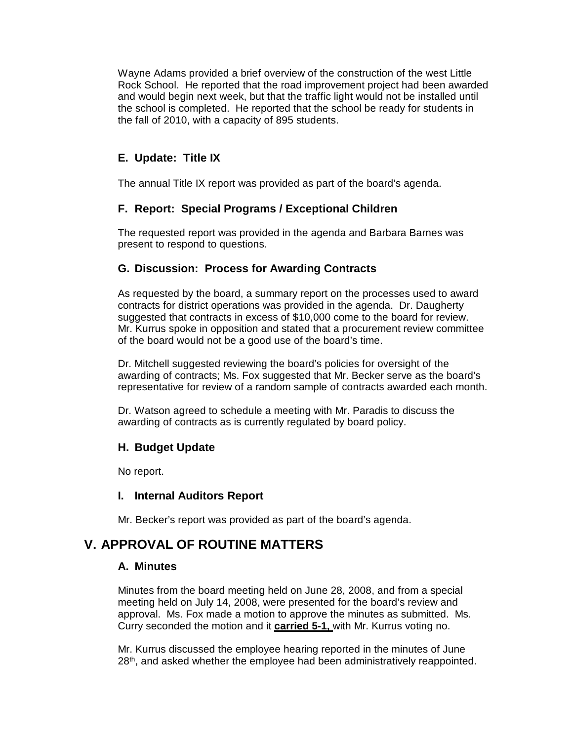Wayne Adams provided a brief overview of the construction of the west Little Rock School. He reported that the road improvement project had been awarded and would begin next week, but that the traffic light would not be installed until the school is completed. He reported that the school be ready for students in the fall of 2010, with a capacity of 895 students.

# **E. Update: Title IX**

The annual Title IX report was provided as part of the board's agenda.

# **F. Report: Special Programs / Exceptional Children**

The requested report was provided in the agenda and Barbara Barnes was present to respond to questions.

## **G. Discussion: Process for Awarding Contracts**

As requested by the board, a summary report on the processes used to award contracts for district operations was provided in the agenda. Dr. Daugherty suggested that contracts in excess of \$10,000 come to the board for review. Mr. Kurrus spoke in opposition and stated that a procurement review committee of the board would not be a good use of the board's time.

Dr. Mitchell suggested reviewing the board's policies for oversight of the awarding of contracts; Ms. Fox suggested that Mr. Becker serve as the board's representative for review of a random sample of contracts awarded each month.

Dr. Watson agreed to schedule a meeting with Mr. Paradis to discuss the awarding of contracts as is currently regulated by board policy.

## **H. Budget Update**

No report.

## **I. Internal Auditors Report**

Mr. Becker's report was provided as part of the board's agenda.

# **V. APPROVAL OF ROUTINE MATTERS**

## **A. Minutes**

Minutes from the board meeting held on June 28, 2008, and from a special meeting held on July 14, 2008, were presented for the board's review and approval. Ms. Fox made a motion to approve the minutes as submitted. Ms. Curry seconded the motion and it **carried 5-1,** with Mr. Kurrus voting no.

Mr. Kurrus discussed the employee hearing reported in the minutes of June 28 th , and asked whether the employee had been administratively reappointed.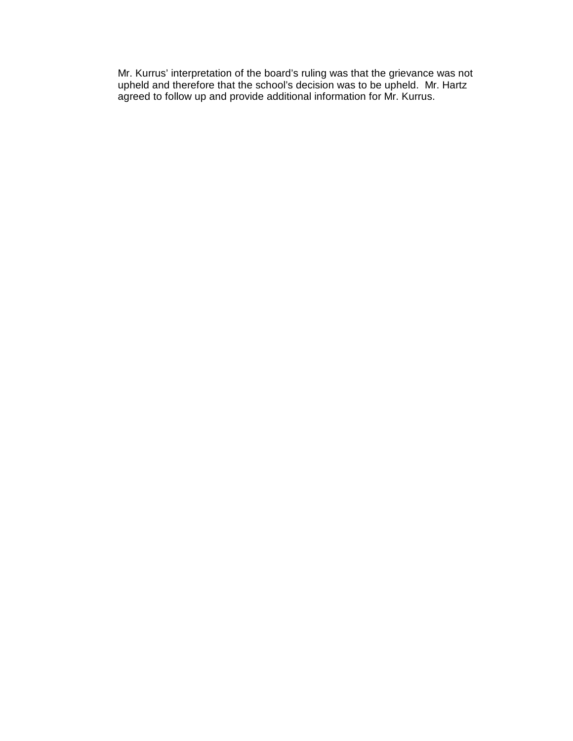Mr. Kurrus' interpretation of the board's ruling was that the grievance was not upheld and therefore that the school's decision was to be upheld. Mr. Hartz agreed to follow up and provide additional information for Mr. Kurrus.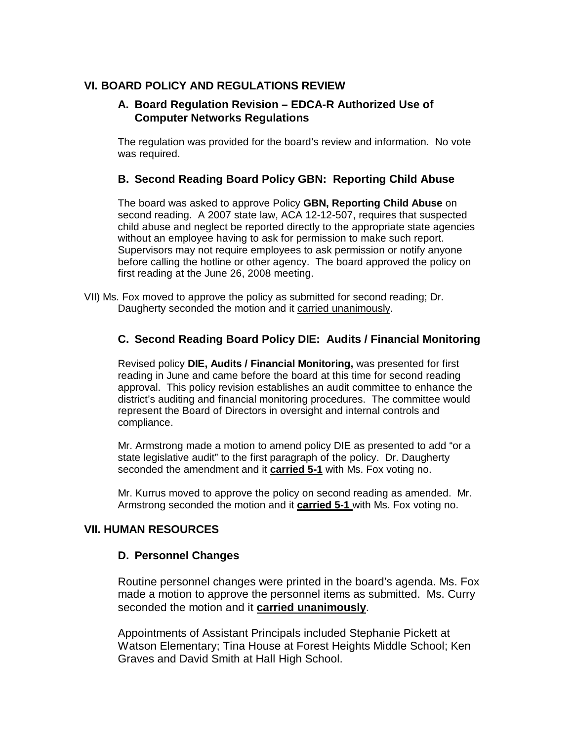## **VI. BOARD POLICY AND REGULATIONS REVIEW**

### **A. Board Regulation Revision – EDCA-R Authorized Use of Computer Networks Regulations**

The regulation was provided for the board's review and information. No vote was required.

## **B. Second Reading Board Policy GBN: Reporting Child Abuse**

The board was asked to approve Policy **GBN, Reporting Child Abuse** on second reading. A 2007 state law, ACA 12-12-507, requires that suspected child abuse and neglect be reported directly to the appropriate state agencies without an employee having to ask for permission to make such report. Supervisors may not require employees to ask permission or notify anyone before calling the hotline or other agency. The board approved the policy on first reading at the June 26, 2008 meeting.

VII) Ms. Fox moved to approve the policy as submitted for second reading; Dr. Daugherty seconded the motion and it carried unanimously.

## **C. Second Reading Board Policy DIE: Audits / Financial Monitoring**

Revised policy **DIE, Audits / Financial Monitoring,** was presented for first reading in June and came before the board at this time for second reading approval. This policy revision establishes an audit committee to enhance the district's auditing and financial monitoring procedures. The committee would represent the Board of Directors in oversight and internal controls and compliance.

Mr. Armstrong made a motion to amend policy DIE as presented to add "or a state legislative audit" to the first paragraph of the policy. Dr. Daugherty seconded the amendment and it **carried 5-1** with Ms. Fox voting no.

Mr. Kurrus moved to approve the policy on second reading as amended. Mr. Armstrong seconded the motion and it **carried 5-1** with Ms. Fox voting no.

## **VII. HUMAN RESOURCES**

### **D. Personnel Changes**

Routine personnel changes were printed in the board's agenda. Ms. Fox made a motion to approve the personnel items as submitted. Ms. Curry seconded the motion and it **carried unanimously**.

Appointments of Assistant Principals included Stephanie Pickett at Watson Elementary; Tina House at Forest Heights Middle School; Ken Graves and David Smith at Hall High School.